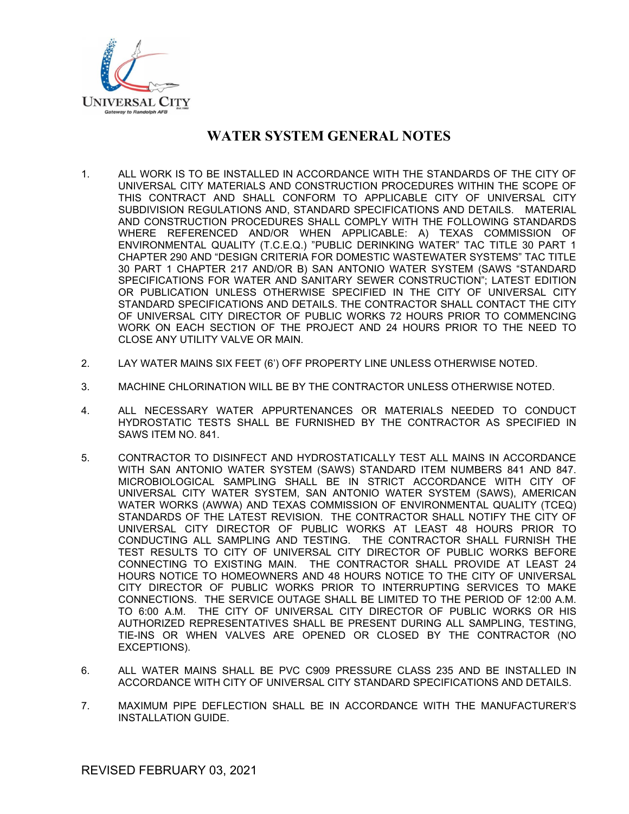

- 1. ALL WORK IS TO BE INSTALLED IN ACCORDANCE WITH THE STANDARDS OF THE CITY OF UNIVERSAL CITY MATERIALS AND CONSTRUCTION PROCEDURES WITHIN THE SCOPE OF THIS CONTRACT AND SHALL CONFORM TO APPLICABLE CITY OF UNIVERSAL CITY SUBDIVISION REGULATIONS AND, STANDARD SPECIFICATIONS AND DETAILS. MATERIAL AND CONSTRUCTION PROCEDURES SHALL COMPLY WITH THE FOLLOWING STANDARDS WHERE REFERENCED AND/OR WHEN APPLICABLE: A) TEXAS COMMISSION OF ENVIRONMENTAL QUALITY (T.C.E.Q.) "PUBLIC DERINKING WATER" TAC TITLE 30 PART 1 CHAPTER 290 AND "DESIGN CRITERIA FOR DOMESTIC WASTEWATER SYSTEMS" TAC TITLE 30 PART 1 CHAPTER 217 AND/OR B) SAN ANTONIO WATER SYSTEM (SAWS "STANDARD SPECIFICATIONS FOR WATER AND SANITARY SEWER CONSTRUCTION"; LATEST EDITION OR PUBLICATION UNLESS OTHERWISE SPECIFIED IN THE CITY OF UNIVERSAL CITY STANDARD SPECIFICATIONS AND DETAILS. THE CONTRACTOR SHALL CONTACT THE CITY OF UNIVERSAL CITY DIRECTOR OF PUBLIC WORKS 72 HOURS PRIOR TO COMMENCING WORK ON EACH SECTION OF THE PROJECT AND 24 HOURS PRIOR TO THE NEED TO CLOSE ANY UTILITY VALVE OR MAIN.
- 2. LAY WATER MAINS SIX FEET (6') OFF PROPERTY LINE UNLESS OTHERWISE NOTED.
- 3. MACHINE CHLORINATION WILL BE BY THE CONTRACTOR UNLESS OTHERWISE NOTED.
- 4. ALL NECESSARY WATER APPURTENANCES OR MATERIALS NEEDED TO CONDUCT HYDROSTATIC TESTS SHALL BE FURNISHED BY THE CONTRACTOR AS SPECIFIED IN SAWS ITEM NO. 841.
- 5. CONTRACTOR TO DISINFECT AND HYDROSTATICALLY TEST ALL MAINS IN ACCORDANCE WITH SAN ANTONIO WATER SYSTEM (SAWS) STANDARD ITEM NUMBERS 841 AND 847. MICROBIOLOGICAL SAMPLING SHALL BE IN STRICT ACCORDANCE WITH CITY OF UNIVERSAL CITY WATER SYSTEM, SAN ANTONIO WATER SYSTEM (SAWS), AMERICAN WATER WORKS (AWWA) AND TEXAS COMMISSION OF ENVIRONMENTAL QUALITY (TCEQ) STANDARDS OF THE LATEST REVISION. THE CONTRACTOR SHALL NOTIFY THE CITY OF UNIVERSAL CITY DIRECTOR OF PUBLIC WORKS AT LEAST 48 HOURS PRIOR TO CONDUCTING ALL SAMPLING AND TESTING. THE CONTRACTOR SHALL FURNISH THE TEST RESULTS TO CITY OF UNIVERSAL CITY DIRECTOR OF PUBLIC WORKS BEFORE CONNECTING TO EXISTING MAIN. THE CONTRACTOR SHALL PROVIDE AT LEAST 24 HOURS NOTICE TO HOMEOWNERS AND 48 HOURS NOTICE TO THE CITY OF UNIVERSAL CITY DIRECTOR OF PUBLIC WORKS PRIOR TO INTERRUPTING SERVICES TO MAKE CONNECTIONS. THE SERVICE OUTAGE SHALL BE LIMITED TO THE PERIOD OF 12:00 A.M. TO 6:00 A.M. THE CITY OF UNIVERSAL CITY DIRECTOR OF PUBLIC WORKS OR HIS AUTHORIZED REPRESENTATIVES SHALL BE PRESENT DURING ALL SAMPLING, TESTING, TIE-INS OR WHEN VALVES ARE OPENED OR CLOSED BY THE CONTRACTOR (NO EXCEPTIONS).
- 6. ALL WATER MAINS SHALL BE PVC C909 PRESSURE CLASS 235 AND BE INSTALLED IN ACCORDANCE WITH CITY OF UNIVERSAL CITY STANDARD SPECIFICATIONS AND DETAILS.
- 7. MAXIMUM PIPE DEFLECTION SHALL BE IN ACCORDANCE WITH THE MANUFACTURER'S INSTALLATION GUIDE.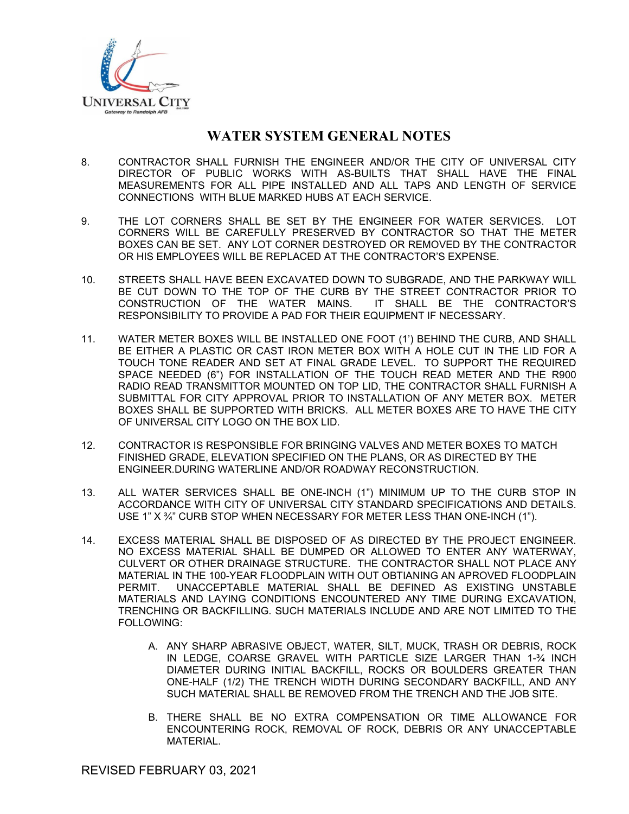

- 8. CONTRACTOR SHALL FURNISH THE ENGINEER AND/OR THE CITY OF UNIVERSAL CITY DIRECTOR OF PUBLIC WORKS WITH AS-BUILTS THAT SHALL HAVE THE FINAL MEASUREMENTS FOR ALL PIPE INSTALLED AND ALL TAPS AND LENGTH OF SERVICE CONNECTIONS WITH BLUE MARKED HUBS AT EACH SERVICE.
- 9. THE LOT CORNERS SHALL BE SET BY THE ENGINEER FOR WATER SERVICES. LOT CORNERS WILL BE CAREFULLY PRESERVED BY CONTRACTOR SO THAT THE METER BOXES CAN BE SET. ANY LOT CORNER DESTROYED OR REMOVED BY THE CONTRACTOR OR HIS EMPLOYEES WILL BE REPLACED AT THE CONTRACTOR'S EXPENSE.
- 10. STREETS SHALL HAVE BEEN EXCAVATED DOWN TO SUBGRADE, AND THE PARKWAY WILL BE CUT DOWN TO THE TOP OF THE CURB BY THE STREET CONTRACTOR PRIOR TO CONSTRUCTION OF THE WATER MAINS. IT SHALL BE THE CONTRACTOR'S RESPONSIBILITY TO PROVIDE A PAD FOR THEIR EQUIPMENT IF NECESSARY.
- 11. WATER METER BOXES WILL BE INSTALLED ONE FOOT (1') BEHIND THE CURB, AND SHALL BE EITHER A PLASTIC OR CAST IRON METER BOX WITH A HOLE CUT IN THE LID FOR A TOUCH TONE READER AND SET AT FINAL GRADE LEVEL. TO SUPPORT THE REQUIRED SPACE NEEDED (6") FOR INSTALLATION OF THE TOUCH READ METER AND THE R900 RADIO READ TRANSMITTOR MOUNTED ON TOP LID, THE CONTRACTOR SHALL FURNISH A SUBMITTAL FOR CITY APPROVAL PRIOR TO INSTALLATION OF ANY METER BOX. METER BOXES SHALL BE SUPPORTED WITH BRICKS. ALL METER BOXES ARE TO HAVE THE CITY OF UNIVERSAL CITY LOGO ON THE BOX LID.
- 12. CONTRACTOR IS RESPONSIBLE FOR BRINGING VALVES AND METER BOXES TO MATCH FINISHED GRADE, ELEVATION SPECIFIED ON THE PLANS, OR AS DIRECTED BY THE ENGINEER.DURING WATERLINE AND/OR ROADWAY RECONSTRUCTION.
- 13. ALL WATER SERVICES SHALL BE ONE-INCH (1") MINIMUM UP TO THE CURB STOP IN ACCORDANCE WITH CITY OF UNIVERSAL CITY STANDARD SPECIFICATIONS AND DETAILS. USE 1" X ¾" CURB STOP WHEN NECESSARY FOR METER LESS THAN ONE-INCH (1").
- 14. EXCESS MATERIAL SHALL BE DISPOSED OF AS DIRECTED BY THE PROJECT ENGINEER. NO EXCESS MATERIAL SHALL BE DUMPED OR ALLOWED TO ENTER ANY WATERWAY, CULVERT OR OTHER DRAINAGE STRUCTURE. THE CONTRACTOR SHALL NOT PLACE ANY MATERIAL IN THE 100-YEAR FLOODPLAIN WITH OUT OBTIANING AN APROVED FLOODPLAIN PERMIT. UNACCEPTABLE MATERIAL SHALL BE DEFINED AS EXISTING UNSTABLE MATERIALS AND LAYING CONDITIONS ENCOUNTERED ANY TIME DURING EXCAVATION, TRENCHING OR BACKFILLING. SUCH MATERIALS INCLUDE AND ARE NOT LIMITED TO THE FOLLOWING:
	- A. ANY SHARP ABRASIVE OBJECT, WATER, SILT, MUCK, TRASH OR DEBRIS, ROCK IN LEDGE, COARSE GRAVEL WITH PARTICLE SIZE LARGER THAN 1-¾ INCH DIAMETER DURING INITIAL BACKFILL, ROCKS OR BOULDERS GREATER THAN ONE-HALF (1/2) THE TRENCH WIDTH DURING SECONDARY BACKFILL, AND ANY SUCH MATERIAL SHALL BE REMOVED FROM THE TRENCH AND THE JOB SITE.
	- B. THERE SHALL BE NO EXTRA COMPENSATION OR TIME ALLOWANCE FOR ENCOUNTERING ROCK, REMOVAL OF ROCK, DEBRIS OR ANY UNACCEPTABLE MATERIAL.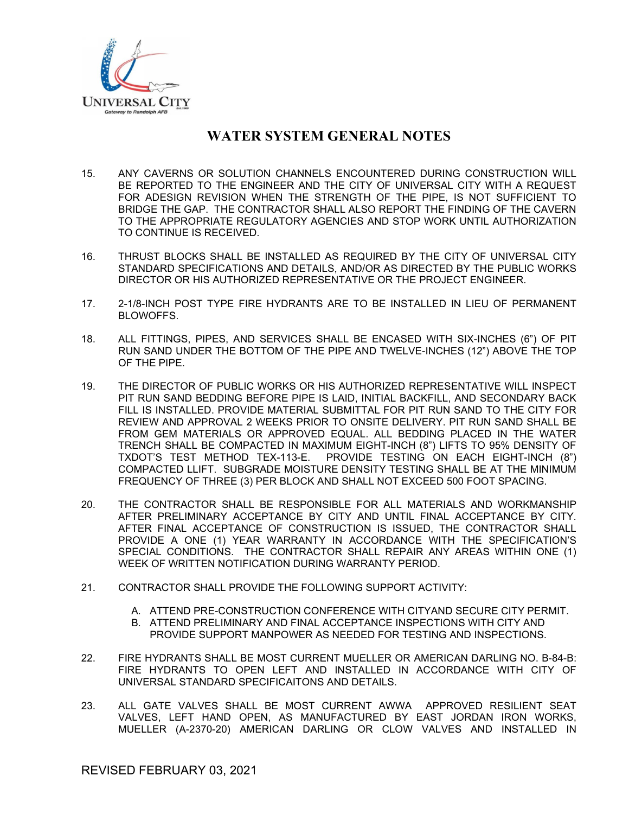

- 15. ANY CAVERNS OR SOLUTION CHANNELS ENCOUNTERED DURING CONSTRUCTION WILL BE REPORTED TO THE ENGINEER AND THE CITY OF UNIVERSAL CITY WITH A REQUEST FOR ADESIGN REVISION WHEN THE STRENGTH OF THE PIPE, IS NOT SUFFICIENT TO BRIDGE THE GAP. THE CONTRACTOR SHALL ALSO REPORT THE FINDING OF THE CAVERN TO THE APPROPRIATE REGULATORY AGENCIES AND STOP WORK UNTIL AUTHORIZATION TO CONTINUE IS RECEIVED.
- 16. THRUST BLOCKS SHALL BE INSTALLED AS REQUIRED BY THE CITY OF UNIVERSAL CITY STANDARD SPECIFICATIONS AND DETAILS, AND/OR AS DIRECTED BY THE PUBLIC WORKS DIRECTOR OR HIS AUTHORIZED REPRESENTATIVE OR THE PROJECT ENGINEER.
- 17. 2-1/8-INCH POST TYPE FIRE HYDRANTS ARE TO BE INSTALLED IN LIEU OF PERMANENT BLOWOFFS.
- 18. ALL FITTINGS, PIPES, AND SERVICES SHALL BE ENCASED WITH SIX-INCHES (6") OF PIT RUN SAND UNDER THE BOTTOM OF THE PIPE AND TWELVE-INCHES (12") ABOVE THE TOP OF THE PIPE.
- 19. THE DIRECTOR OF PUBLIC WORKS OR HIS AUTHORIZED REPRESENTATIVE WILL INSPECT PIT RUN SAND BEDDING BEFORE PIPE IS LAID, INITIAL BACKFILL, AND SECONDARY BACK FILL IS INSTALLED. PROVIDE MATERIAL SUBMITTAL FOR PIT RUN SAND TO THE CITY FOR REVIEW AND APPROVAL 2 WEEKS PRIOR TO ONSITE DELIVERY. PIT RUN SAND SHALL BE FROM GEM MATERIALS OR APPROVED EQUAL. ALL BEDDING PLACED IN THE WATER TRENCH SHALL BE COMPACTED IN MAXIMUM EIGHT-INCH (8") LIFTS TO 95% DENSITY OF TXDOT'S TEST METHOD TEX-113-E. PROVIDE TESTING ON EACH EIGHT-INCH (8") COMPACTED LLIFT. SUBGRADE MOISTURE DENSITY TESTING SHALL BE AT THE MINIMUM FREQUENCY OF THREE (3) PER BLOCK AND SHALL NOT EXCEED 500 FOOT SPACING.
- 20. THE CONTRACTOR SHALL BE RESPONSIBLE FOR ALL MATERIALS AND WORKMANSHIP AFTER PRELIMINARY ACCEPTANCE BY CITY AND UNTIL FINAL ACCEPTANCE BY CITY. AFTER FINAL ACCEPTANCE OF CONSTRUCTION IS ISSUED, THE CONTRACTOR SHALL PROVIDE A ONE (1) YEAR WARRANTY IN ACCORDANCE WITH THE SPECIFICATION'S SPECIAL CONDITIONS. THE CONTRACTOR SHALL REPAIR ANY AREAS WITHIN ONE (1) WEEK OF WRITTEN NOTIFICATION DURING WARRANTY PERIOD.
- 21. CONTRACTOR SHALL PROVIDE THE FOLLOWING SUPPORT ACTIVITY:
	- A. ATTEND PRE-CONSTRUCTION CONFERENCE WITH CITYAND SECURE CITY PERMIT.
	- B. ATTEND PRELIMINARY AND FINAL ACCEPTANCE INSPECTIONS WITH CITY AND PROVIDE SUPPORT MANPOWER AS NEEDED FOR TESTING AND INSPECTIONS.
- 22. FIRE HYDRANTS SHALL BE MOST CURRENT MUELLER OR AMERICAN DARLING NO. B-84-B: FIRE HYDRANTS TO OPEN LEFT AND INSTALLED IN ACCORDANCE WITH CITY OF UNIVERSAL STANDARD SPECIFICAITONS AND DETAILS.
- 23. ALL GATE VALVES SHALL BE MOST CURRENT AWWA APPROVED RESILIENT SEAT VALVES, LEFT HAND OPEN, AS MANUFACTURED BY EAST JORDAN IRON WORKS, MUELLER (A-2370-20) AMERICAN DARLING OR CLOW VALVES AND INSTALLED IN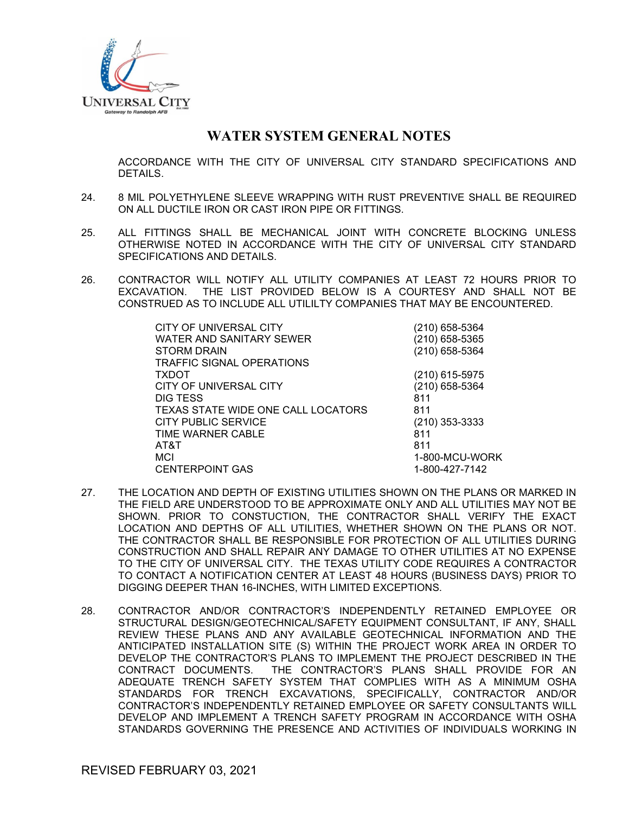

ACCORDANCE WITH THE CITY OF UNIVERSAL CITY STANDARD SPECIFICATIONS AND DETAILS.

- 24. 8 MIL POLYETHYLENE SLEEVE WRAPPING WITH RUST PREVENTIVE SHALL BE REQUIRED ON ALL DUCTILE IRON OR CAST IRON PIPE OR FITTINGS.
- 25. ALL FITTINGS SHALL BE MECHANICAL JOINT WITH CONCRETE BLOCKING UNLESS OTHERWISE NOTED IN ACCORDANCE WITH THE CITY OF UNIVERSAL CITY STANDARD SPECIFICATIONS AND DETAILS.
- 26. CONTRACTOR WILL NOTIFY ALL UTILITY COMPANIES AT LEAST 72 HOURS PRIOR TO EXCAVATION. THE LIST PROVIDED BELOW IS A COURTESY AND SHALL NOT BE CONSTRUED AS TO INCLUDE ALL UTILILTY COMPANIES THAT MAY BE ENCOUNTERED.

| (210) 658-5364 |
|----------------|
| (210) 658-5365 |
| (210) 658-5364 |
|                |
| (210) 615-5975 |
| (210) 658-5364 |
| 811            |
| 811            |
| (210) 353-3333 |
| 811            |
| 811            |
| 1-800-MCU-WORK |
| 1-800-427-7142 |
|                |

- 27. THE LOCATION AND DEPTH OF EXISTING UTILITIES SHOWN ON THE PLANS OR MARKED IN THE FIELD ARE UNDERSTOOD TO BE APPROXIMATE ONLY AND ALL UTILITIES MAY NOT BE SHOWN. PRIOR TO CONSTUCTION, THE CONTRACTOR SHALL VERIFY THE EXACT LOCATION AND DEPTHS OF ALL UTILITIES, WHETHER SHOWN ON THE PLANS OR NOT. THE CONTRACTOR SHALL BE RESPONSIBLE FOR PROTECTION OF ALL UTILITIES DURING CONSTRUCTION AND SHALL REPAIR ANY DAMAGE TO OTHER UTILITIES AT NO EXPENSE TO THE CITY OF UNIVERSAL CITY. THE TEXAS UTILITY CODE REQUIRES A CONTRACTOR TO CONTACT A NOTIFICATION CENTER AT LEAST 48 HOURS (BUSINESS DAYS) PRIOR TO DIGGING DEEPER THAN 16-INCHES, WITH LIMITED EXCEPTIONS.
- 28. CONTRACTOR AND/OR CONTRACTOR'S INDEPENDENTLY RETAINED EMPLOYEE OR STRUCTURAL DESIGN/GEOTECHNICAL/SAFETY EQUIPMENT CONSULTANT, IF ANY, SHALL REVIEW THESE PLANS AND ANY AVAILABLE GEOTECHNICAL INFORMATION AND THE ANTICIPATED INSTALLATION SITE (S) WITHIN THE PROJECT WORK AREA IN ORDER TO DEVELOP THE CONTRACTOR'S PLANS TO IMPLEMENT THE PROJECT DESCRIBED IN THE CONTRACT DOCUMENTS. THE CONTRACTOR'S PLANS SHALL PROVIDE FOR AN ADEQUATE TRENCH SAFETY SYSTEM THAT COMPLIES WITH AS A MINIMUM OSHA STANDARDS FOR TRENCH EXCAVATIONS, SPECIFICALLY, CONTRACTOR AND/OR CONTRACTOR'S INDEPENDENTLY RETAINED EMPLOYEE OR SAFETY CONSULTANTS WILL DEVELOP AND IMPLEMENT A TRENCH SAFETY PROGRAM IN ACCORDANCE WITH OSHA STANDARDS GOVERNING THE PRESENCE AND ACTIVITIES OF INDIVIDUALS WORKING IN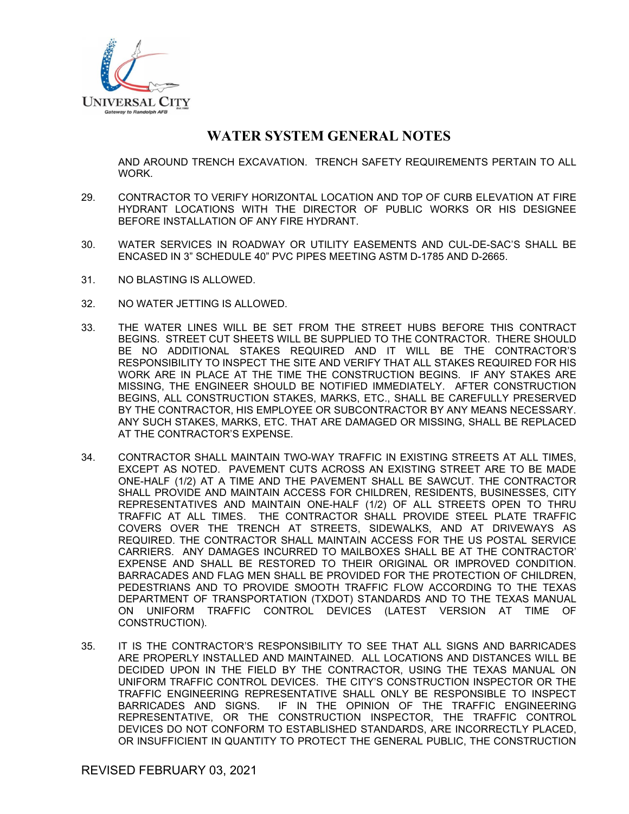

AND AROUND TRENCH EXCAVATION. TRENCH SAFETY REQUIREMENTS PERTAIN TO ALL WORK.

- 29. CONTRACTOR TO VERIFY HORIZONTAL LOCATION AND TOP OF CURB ELEVATION AT FIRE HYDRANT LOCATIONS WITH THE DIRECTOR OF PUBLIC WORKS OR HIS DESIGNEE BEFORE INSTALLATION OF ANY FIRE HYDRANT.
- 30. WATER SERVICES IN ROADWAY OR UTILITY EASEMENTS AND CUL-DE-SAC'S SHALL BE ENCASED IN 3" SCHEDULE 40" PVC PIPES MEETING ASTM D-1785 AND D-2665.
- 31. NO BLASTING IS ALLOWED.
- 32. NO WATER JETTING IS ALLOWED.
- 33. THE WATER LINES WILL BE SET FROM THE STREET HUBS BEFORE THIS CONTRACT BEGINS. STREET CUT SHEETS WILL BE SUPPLIED TO THE CONTRACTOR. THERE SHOULD BE NO ADDITIONAL STAKES REQUIRED AND IT WILL BE THE CONTRACTOR'S RESPONSIBILITY TO INSPECT THE SITE AND VERIFY THAT ALL STAKES REQUIRED FOR HIS WORK ARE IN PLACE AT THE TIME THE CONSTRUCTION BEGINS. IF ANY STAKES ARE MISSING, THE ENGINEER SHOULD BE NOTIFIED IMMEDIATELY. AFTER CONSTRUCTION BEGINS, ALL CONSTRUCTION STAKES, MARKS, ETC., SHALL BE CAREFULLY PRESERVED BY THE CONTRACTOR, HIS EMPLOYEE OR SUBCONTRACTOR BY ANY MEANS NECESSARY. ANY SUCH STAKES, MARKS, ETC. THAT ARE DAMAGED OR MISSING, SHALL BE REPLACED AT THE CONTRACTOR'S EXPENSE.
- 34. CONTRACTOR SHALL MAINTAIN TWO-WAY TRAFFIC IN EXISTING STREETS AT ALL TIMES, EXCEPT AS NOTED. PAVEMENT CUTS ACROSS AN EXISTING STREET ARE TO BE MADE ONE-HALF (1/2) AT A TIME AND THE PAVEMENT SHALL BE SAWCUT. THE CONTRACTOR SHALL PROVIDE AND MAINTAIN ACCESS FOR CHILDREN, RESIDENTS, BUSINESSES, CITY REPRESENTATIVES AND MAINTAIN ONE-HALF (1/2) OF ALL STREETS OPEN TO THRU TRAFFIC AT ALL TIMES. THE CONTRACTOR SHALL PROVIDE STEEL PLATE TRAFFIC COVERS OVER THE TRENCH AT STREETS, SIDEWALKS, AND AT DRIVEWAYS AS REQUIRED. THE CONTRACTOR SHALL MAINTAIN ACCESS FOR THE US POSTAL SERVICE CARRIERS. ANY DAMAGES INCURRED TO MAILBOXES SHALL BE AT THE CONTRACTOR' EXPENSE AND SHALL BE RESTORED TO THEIR ORIGINAL OR IMPROVED CONDITION. BARRACADES AND FLAG MEN SHALL BE PROVIDED FOR THE PROTECTION OF CHILDREN, PEDESTRIANS AND TO PROVIDE SMOOTH TRAFFIC FLOW ACCORDING TO THE TEXAS DEPARTMENT OF TRANSPORTATION (TXDOT) STANDARDS AND TO THE TEXAS MANUAL ON UNIFORM TRAFFIC CONTROL DEVICES (LATEST VERSION AT TIME OF CONSTRUCTION).
- 35. IT IS THE CONTRACTOR'S RESPONSIBILITY TO SEE THAT ALL SIGNS AND BARRICADES ARE PROPERLY INSTALLED AND MAINTAINED. ALL LOCATIONS AND DISTANCES WILL BE DECIDED UPON IN THE FIELD BY THE CONTRACTOR, USING THE TEXAS MANUAL ON UNIFORM TRAFFIC CONTROL DEVICES. THE CITY'S CONSTRUCTION INSPECTOR OR THE TRAFFIC ENGINEERING REPRESENTATIVE SHALL ONLY BE RESPONSIBLE TO INSPECT BARRICADES AND SIGNS. IF IN THE OPINION OF THE TRAFFIC ENGINEERING REPRESENTATIVE, OR THE CONSTRUCTION INSPECTOR, THE TRAFFIC CONTROL DEVICES DO NOT CONFORM TO ESTABLISHED STANDARDS, ARE INCORRECTLY PLACED, OR INSUFFICIENT IN QUANTITY TO PROTECT THE GENERAL PUBLIC, THE CONSTRUCTION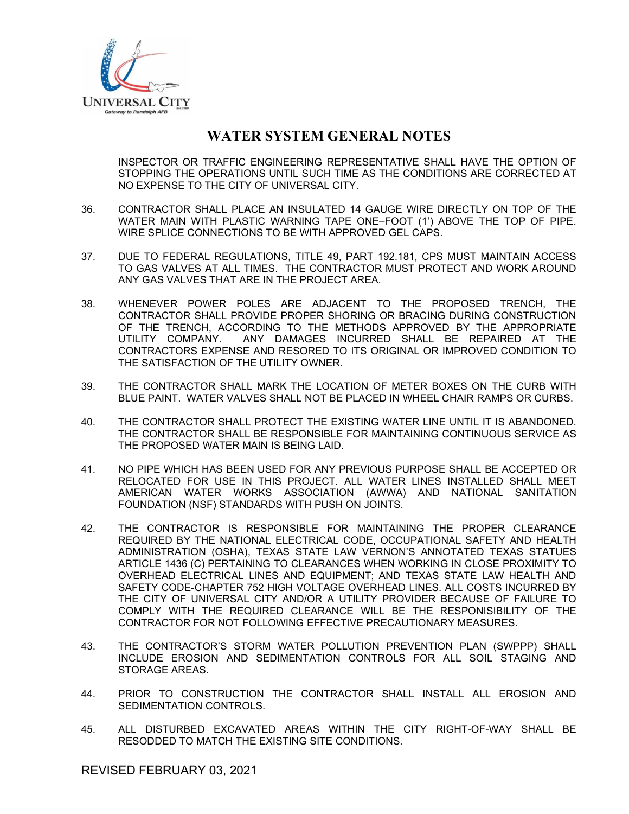

INSPECTOR OR TRAFFIC ENGINEERING REPRESENTATIVE SHALL HAVE THE OPTION OF STOPPING THE OPERATIONS UNTIL SUCH TIME AS THE CONDITIONS ARE CORRECTED AT NO EXPENSE TO THE CITY OF UNIVERSAL CITY.

- 36. CONTRACTOR SHALL PLACE AN INSULATED 14 GAUGE WIRE DIRECTLY ON TOP OF THE WATER MAIN WITH PLASTIC WARNING TAPE ONE–FOOT (1') ABOVE THE TOP OF PIPE. WIRE SPLICE CONNECTIONS TO BE WITH APPROVED GEL CAPS.
- 37. DUE TO FEDERAL REGULATIONS, TITLE 49, PART 192.181, CPS MUST MAINTAIN ACCESS TO GAS VALVES AT ALL TIMES. THE CONTRACTOR MUST PROTECT AND WORK AROUND ANY GAS VALVES THAT ARE IN THE PROJECT AREA.
- 38. WHENEVER POWER POLES ARE ADJACENT TO THE PROPOSED TRENCH, THE CONTRACTOR SHALL PROVIDE PROPER SHORING OR BRACING DURING CONSTRUCTION OF THE TRENCH, ACCORDING TO THE METHODS APPROVED BY THE APPROPRIATE UTILITY COMPANY. ANY DAMAGES INCURRED SHALL BE REPAIRED AT THE CONTRACTORS EXPENSE AND RESORED TO ITS ORIGINAL OR IMPROVED CONDITION TO THE SATISFACTION OF THE UTILITY OWNER.
- 39. THE CONTRACTOR SHALL MARK THE LOCATION OF METER BOXES ON THE CURB WITH BLUE PAINT. WATER VALVES SHALL NOT BE PLACED IN WHEEL CHAIR RAMPS OR CURBS.
- 40. THE CONTRACTOR SHALL PROTECT THE EXISTING WATER LINE UNTIL IT IS ABANDONED. THE CONTRACTOR SHALL BE RESPONSIBLE FOR MAINTAINING CONTINUOUS SERVICE AS THE PROPOSED WATER MAIN IS BEING LAID.
- 41. NO PIPE WHICH HAS BEEN USED FOR ANY PREVIOUS PURPOSE SHALL BE ACCEPTED OR RELOCATED FOR USE IN THIS PROJECT. ALL WATER LINES INSTALLED SHALL MEET AMERICAN WATER WORKS ASSOCIATION (AWWA) AND NATIONAL SANITATION FOUNDATION (NSF) STANDARDS WITH PUSH ON JOINTS.
- 42. THE CONTRACTOR IS RESPONSIBLE FOR MAINTAINING THE PROPER CLEARANCE REQUIRED BY THE NATIONAL ELECTRICAL CODE, OCCUPATIONAL SAFETY AND HEALTH ADMINISTRATION (OSHA), TEXAS STATE LAW VERNON'S ANNOTATED TEXAS STATUES ARTICLE 1436 (C) PERTAINING TO CLEARANCES WHEN WORKING IN CLOSE PROXIMITY TO OVERHEAD ELECTRICAL LINES AND EQUIPMENT; AND TEXAS STATE LAW HEALTH AND SAFETY CODE-CHAPTER 752 HIGH VOLTAGE OVERHEAD LINES. ALL COSTS INCURRED BY THE CITY OF UNIVERSAL CITY AND/OR A UTILITY PROVIDER BECAUSE OF FAILURE TO COMPLY WITH THE REQUIRED CLEARANCE WILL BE THE RESPONISIBILITY OF THE CONTRACTOR FOR NOT FOLLOWING EFFECTIVE PRECAUTIONARY MEASURES.
- 43. THE CONTRACTOR'S STORM WATER POLLUTION PREVENTION PLAN (SWPPP) SHALL INCLUDE EROSION AND SEDIMENTATION CONTROLS FOR ALL SOIL STAGING AND STORAGE AREAS.
- 44. PRIOR TO CONSTRUCTION THE CONTRACTOR SHALL INSTALL ALL EROSION AND SEDIMENTATION CONTROLS.
- 45. ALL DISTURBED EXCAVATED AREAS WITHIN THE CITY RIGHT-OF-WAY SHALL BE RESODDED TO MATCH THE EXISTING SITE CONDITIONS.